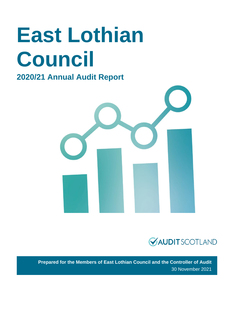# **East Lothian Council**

# **2020/21 Annual Audit Report**





**Prepared for the Members of East Lothian Council and the Controller of Audit** 30 November 2021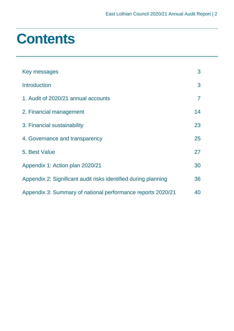# **Contents**

| Key messages                                                   | 3  |
|----------------------------------------------------------------|----|
| <b>Introduction</b>                                            | 3  |
| 1. Audit of 2020/21 annual accounts                            | 7  |
| 2. Financial management                                        | 14 |
| 3. Financial sustainability                                    | 23 |
| 4. Governance and transparency                                 | 25 |
| 5. Best Value                                                  | 27 |
| Appendix 1: Action plan 2020/21                                | 30 |
| Appendix 2: Significant audit risks identified during planning | 36 |
| Appendix 3: Summary of national performance reports 2020/21    | 40 |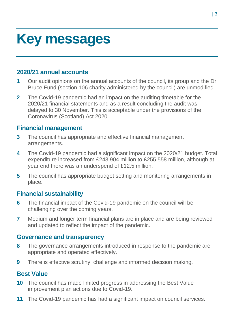# <span id="page-2-0"></span>**Key messages**

# **2020/21 annual accounts**

- **1** Our audit opinions on the annual accounts of the council, its group and the Dr Bruce Fund (section 106 charity administered by the council) are unmodified.
- **2** The Covid-19 pandemic had an impact on the auditing timetable for the 2020/21 financial statements and as a result concluding the audit was delayed to 30 November. This is acceptable under the provisions of the Coronavirus (Scotland) Act 2020.

# **Financial management**

- **3** The council has appropriate and effective financial management arrangements.
- **4** The Covid-19 pandemic had a significant impact on the 2020/21 budget. Total expenditure increased from £243.904 million to £255.558 million, although at year end there was an underspend of £12.5 million.
- **5** The council has appropriate budget setting and monitoring arrangements in place.

# **Financial sustainability**

- **6** The financial impact of the Covid-19 pandemic on the council will be challenging over the coming years.
- **7** Medium and longer term financial plans are in place and are being reviewed and updated to reflect the impact of the pandemic.

# **Governance and transparency**

- **8** The governance arrangements introduced in response to the pandemic are appropriate and operated effectively.
- **9** There is effective scrutiny, challenge and informed decision making.

# **Best Value**

- <span id="page-2-1"></span>**10** The council has made limited progress in addressing the Best Value improvement plan actions due to Covid-19.
- **11** The Covid-19 pandemic has had a significant impact on council services.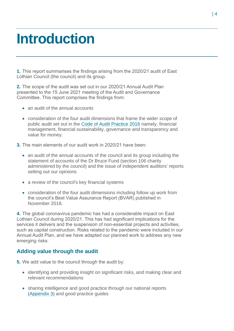# **Introduction**

**1.** This report summarises the findings arising from the 2020/21 audit of East Lothian Council (the council) and its group.

**2.** The scope of the audit was set out in our 2020/21 Annual Audit Plan presented to the 15 June 2021 meeting of the Audit and Governance Committee. This report comprises the findings from:

- an audit of the annual accounts
- consideration of the four audit dimensions that frame the wider scope of public audit set out in the [Code of Audit Practice 2016](http://www.audit-scotland.gov.uk/report/code-of-audit-practice-2016) namely, financial management, financial sustainability, governance and transparency and value for money.
- **3.** The main elements of our audit work in 2020/21 have been:
	- an audit of the annual accounts of the council and its group including the statement of accounts of the Dr Bruce Fund (section 106 charity administered by the council) and the issue of independent auditors' reports setting out our opinions
	- a review of the council's key financial systems
	- consideration of the four audit dimensions including follow up work from the council's Best Value Assurance Report (BVAR) published in November 2018.

**4.** The global coronavirus pandemic has had a considerable impact on East Lothian Council during 2020/21. This has had significant implications for the services it delivers and the suspension of non-essential projects and activities, such as capital construction. Risks related to the pandemic were included in our Annual Audit Plan, and we have adapted our planned work to address any new emerging risks.

## **Adding value through the audit**

**5.** We add value to the council through the audit by:

- identifying and providing insight on significant risks, and making clear and relevant recommendations
- sharing intelligence and good practice through our national reports [\(Appendix 3\)](#page-39-0) and good practice guides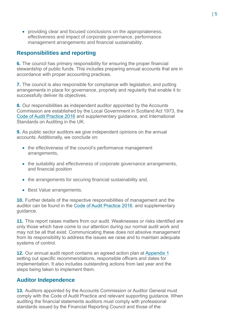• providing clear and focused conclusions on the appropriateness, effectiveness and impact of corporate governance, performance management arrangements and financial sustainability.

# **Responsibilities and reporting**

**6.** The council has primary responsibility for ensuring the proper financial stewardship of public funds. This includes preparing annual accounts that are in accordance with proper accounting practices.

**7.** The council is also responsible for compliance with legislation, and putting arrangements in place for governance, propriety and regularity that enable it to successfully deliver its objectives.

**8.** Our responsibilities as independent auditor appointed by the Accounts Commission are established by the Local Government in Scotland Act 1973, the [Code of Audit Practice 2016](http://www.audit-scotland.gov.uk/report/code-of-audit-practice-2016) and supplementary guidance, and International Standards on Auditing in the UK.

**9.** As public sector auditors we give independent opinions on the annual accounts. Additionally, we conclude on:

- the effectiveness of the council's performance management arrangements,
- the suitability and effectiveness of corporate governance arrangements, and financial position
- the arrangements for securing financial sustainability and,
- Best Value arrangements.

**10.** Further details of the respective responsibilities of management and the auditor can be found in the [Code of Audit Practice 2016.](http://www.audit-scotland.gov.uk/report/code-of-audit-practice-2016) and supplementary guidance.

**11.** This report raises matters from our audit. Weaknesses or risks identified are only those which have come to our attention during our normal audit work and may not be all that exist. Communicating these does not absolve management from its responsibility to address the issues we raise and to maintain adequate systems of control.

**12.** Our annual audit report contains an agreed action plan at [Appendix 1](#page-29-0) setting out specific recommendations, responsible officers and dates for implementation. It also includes outstanding actions from last year and the steps being taken to implement them.

## **Auditor Independence**

**13.** Auditors appointed by the Accounts Commission or Auditor General must comply with the Code of Audit Practice and relevant supporting guidance. When auditing the financial statements auditors must comply with professional standards issued by the Financial Reporting Council and those of the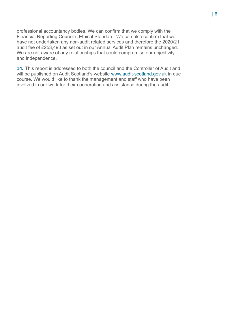professional accountancy bodies. We can confirm that we comply with the Financial Reporting Council's Ethical Standard. We can also confirm that we have not undertaken any non-audit related services and therefore the 2020/21 audit fee of £253,490 as set out in our Annual Audit Plan remains unchanged. We are not aware of any relationships that could compromise our objectivity and independence.

**14.** This report is addressed to both the council and the Controller of Audit and will be published on Audit Scotland's website [www.audit-scotland.gov.uk](http://www.audit-scotland.gov.uk/) in due course. We would like to thank the management and staff who have been involved in our work for their cooperation and assistance during the audit.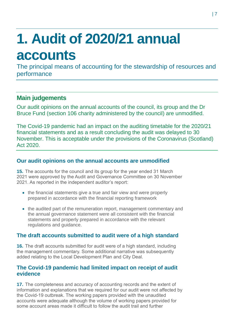# <span id="page-6-0"></span>**1. Audit of 2020/21 annual accounts**

The principal means of accounting for the stewardship of resources and performance

# **Main judgements**

Our audit opinions on the annual accounts of the council, its group and the Dr Bruce Fund (section 106 charity administered by the council) are unmodified.

The Covid-19 pandemic had an impact on the auditing timetable for the 2020/21 financial statements and as a result concluding the audit was delayed to 30 November. This is acceptable under the provisions of the Coronavirus (Scotland) Act 2020.

# **Our audit opinions on the annual accounts are unmodified**

**15.** The accounts for the council and its group for the year ended 31 March 2021 were approved by the Audit and Governance Committee on 30 November 2021. As reported in the independent auditor's report:

- the financial statements give a true and fair view and were properly prepared in accordance with the financial reporting framework
- the audited part of the remuneration report, management commentary and the annual governance statement were all consistent with the financial statements and properly prepared in accordance with the relevant regulations and guidance.

# **The draft accounts submitted to audit were of a high standard**

**16.** The draft accounts submitted for audit were of a high standard, including the management commentary. Some additional narrative was subsequently added relating to the Local Development Plan and City Deal.

# **The Covid-19 pandemic had limited impact on receipt of audit evidence**

**17.** The completeness and accuracy of accounting records and the extent of information and explanations that we required for our audit were not affected by the Covid-19 outbreak. The working papers provided with the unaudited accounts were adequate although the volume of working papers provided for some account areas made it difficult to follow the audit trail and further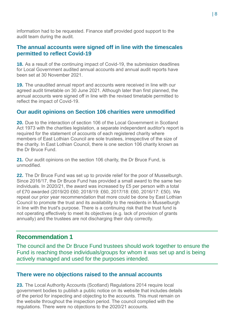information had to be requested. Finance staff provided good support to the audit team during the audit.

# **The annual accounts were signed off in line with the timescales permitted to reflect Covid-19**

**18.** As a result of the continuing impact of Covid-19, the submission deadlines for Local Government audited annual accounts and annual audit reports have been set at 30 November 2021.

**19.** The unaudited annual report and accounts were received in line with our agreed audit timetable on 30 June 2021. Although later than first planned, the annual accounts were signed off in line with the revised timetable permitted to reflect the impact of Covid-19.

# **Our audit opinions on Section 106 charities were unmodified**

**20.** Due to the interaction of section 106 of the Local Government in Scotland Act 1973 with the charities legislation, a separate independent auditor's report is required for the statement of accounts of each registered charity where members of East Lothian Council are sole trustees, irrespective of the size of the charity. In East Lothian Council, there is one section 106 charity known as the Dr Bruce Fund.

**21.** Our audit opinions on the section 106 charity, the Dr Bruce Fund, is unmodified.

<span id="page-7-0"></span>**22.** The Dr Bruce Fund was set up to provide relief for the poor of Musselburgh. Since 2016/17, the Dr Bruce Fund has provided a small award to the same two individuals. In 2020/21, the award was increased by £5 per person with a total of £70 awarded (2019/20 £60; 2018/19: £60, 2017/18: £60, 2016/17: £50). We repeat our prior year recommendation that more could be done by East Lothian Council to promote the trust and its availability to the residents in Musselburgh in line with the trust's purpose. There is a continuing risk that the trust fund is not operating effectively to meet its objectives (e.g. lack of provision of grants annually) and the trustees are not discharging their duty correctly.

# **Recommendation 1**

The council and the Dr Bruce Fund trustees should work together to ensure the Fund is reaching those individuals/groups for whom it was set up and is being actively managed and used for the purposes intended.

## **There were no objections raised to the annual accounts**

**23.** The Local Authority Accounts (Scotland) Regulations 2014 require local government bodies to publish a public notice on its website that includes details of the period for inspecting and objecting to the accounts. This must remain on the website throughout the inspection period. The council complied with the regulations. There were no objections to the 2020/21 accounts.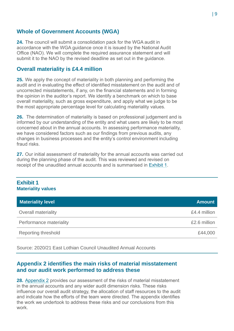# **Whole of Government Accounts (WGA)**

**24.** The council will submit a consolidation pack for the WGA audit in accordance with the WGA guidance once it is issued by the National Audit Office (NAO). We will complete the required assurance statement and will submit it to the NAO by the revised deadline as set out in the guidance.

## **Overall materiality is £4.4 million**

**25.** We apply the concept of materiality in both planning and performing the audit and in evaluating the effect of identified misstatement on the audit and of uncorrected misstatements, if any, on the financial statements and in forming the opinion in the auditor's report. We identify a benchmark on which to base overall materiality, such as gross expenditure, and apply what we judge to be the most appropriate percentage level for calculating materiality values.

**26.** The determination of materiality is based on professional judgement and is informed by our understanding of the entity and what users are likely to be most concerned about in the annual accounts. In assessing performance materiality, we have considered factors such as our findings from previous audits, any changes in business processes and the entity's control environment including fraud risks.

**27.** Our initial assessment of materiality for the annual accounts was carried out during the planning phase of the audit. This was reviewed and revised on receipt of the unaudited annual accounts and is summarised in [Exhibit 1.](#page-8-0)

### <span id="page-8-0"></span>**Exhibit 1 Materiality values**

| <b>Materiality level</b>   | <b>Amount</b> |
|----------------------------|---------------|
| <b>Overall materiality</b> | £4.4 million  |
| Performance materiality    | £2.6 million  |
| <b>Reporting threshold</b> | £44,000       |

Source: 2020/21 East Lothian Council Unaudited Annual Accounts

## **Appendix 2 identifies the main risks of material misstatement and our audit work performed to address these**

**28.** Appendix 2 [provides our assessment of the risks of material misstatement](#page-35-0)  [in the annual accounts and any wider audit dimension risks. These risks](#page-35-0)  [influence our overall audit strategy, the allocation of staff resources to the audit](#page-35-0)  [and indicate how the efforts of the team were directed. The appendix identifies](#page-35-0)  [the work we undertook to address these risks and our conclusions from this](#page-35-0)  [work.](#page-35-0)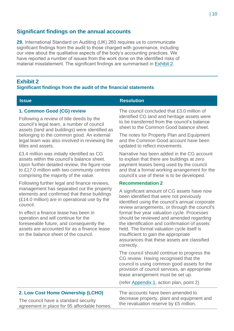# **Significant findings on the annual accounts**

**29.** International Standard on Auditing (UK) 260 requires us to communicate significant findings from the audit to those charged with governance, including our view about the qualitative aspects of the body's accounting practices. We have reported a number of issues from the work done on the identified risks of material misstatement. The significant findings are summarised in [Exhibit 2.](#page-9-0)

## <span id="page-9-0"></span>**Exhibit 2**

### **Significant findings from the audit of the financial statements**

#### **Issue Resolution**

### **1. Common Good (CG) review**

Following a review of title deeds by the council's legal team, a number of council assets (land and buildings) were identified as belonging to the common good. An external legal team was also involved in reviewing the titles and assets.

£3.4 million was initially identified as CG assets within the council's balance sheet. Upon further detailed review, the figure rose to £17.0 million with two community centres comprising the majority of the value.

Following further legal and finance reviews, management has separated out the property elements and confirmed that these buildings (£14.0 million) are in operational use by the council.

In effect a finance lease has been in operation and will continue for the foreseeable future, and consequently the assets are accounted for as a finance lease on the balance sheet of the council.

The council concluded that £3.0 million of identified CG land and heritage assets were to be transferred from the council's balance sheet to the Common Good balance sheet.

The notes for Property Plan and Equipment and the Common Good account have been updated to reflect movements.

Narrative has been added in the CG account to explain that there are buildings at zero payment leases being used by the council and that a formal working arrangement for the council's use of these is to be developed.

#### **Recommendation 2**

A significant amount of CG assets have now been identified that were not previously identified using the council's annual corporate review arrangements, or through the council's formal five year valuation cycle. Processes should be reviewed and amended regarding the identification and confirmation of assets held. The formal valuation cycle itself is insufficient to gain the appropriate assurances that these assets are classified correctly.

The council should continue to progress the CG review. Having recognised that the council is using common good assets for the provision of council services, an appropriate lease arrangement must be set up.

(refer [Appendix 1,](#page-29-0) action plan, point 2)

### **2. Low Cost Home Ownership (LCHO)**

The council have a standard security agreement in place for 95 affordable homes. The accounts have been amended to decrease property, plant and equipment and the revaluation reserve by £5 million.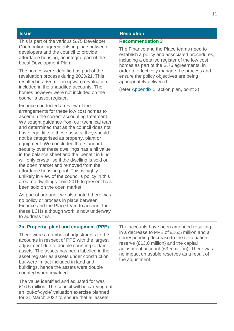This is part of the various S.75 Developer Contribution agreements in place between developers and the council to provide affordable housing, an integral part of the Local Development Plan.

The homes were identified as part of the revaluation process during 2020/21. This resulted in a £5 million upward revaluation included in the unaudited accounts. The homes however were not included on the council's asset register.

Finance conducted a review of the arrangements for these low cost homes to ascertain the correct accounting treatment. We sought guidance from our technical team and determined that as the council does not have legal title to these assets, they should not be categorised as property, plant or equipment. We concluded that standard security over these dwellings has a nil value in the balance sheet and the 'benefit in kind' will only crystallise if the dwelling is sold on the open market and removed from the affordable housing pool. This is highly unlikely in view of the council's policy in this area; no dwellings from 2016 to present have been sold on the open market.

As part of our audit we also noted there was no policy or process in place between Finance and the Place team to account for these LCHs although work is now underway to address this.

## **Issue Resolution**

#### **Recommendation 3**

The Finance and the Place teams need to establish a policy and associated procedures, including a detailed register of the low cost homes as part of the S.75 agreements, in order to effectively manage the process and ensure the policy objectives are being appropriately delivered.

(refer [Appendix 1,](#page-29-0) action plan, point 3)

## **3a. Property, plant and equipment (PPE)**

There were a number of adjustments to the accounts in respect of PPE with the largest adjustment due to double counting certain assets. The assets has been labelled in the asset register as assets under construction but were in fact included in land and buildings, hence the assets were double counted when revalued.

The value identified and adjusted for was £16.5 million. The council will be carrying out an 'out-of-cycle' valuation exercise planned for 31 March 2022 to ensure that all assets

The accounts have been amended resulting in a decrease to PPE of £16.5 million and a corresponding decrease to the revaluation reserve (£13.0 million) and the capital adjustment account (£3.5 million). There was no impact on usable reserves as a result of the adjustment.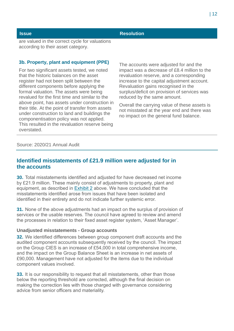### **Issue Resolution**

are valued in the correct cycle for valuations according to their asset category.

#### **3b. Property, plant and equipment (PPE)**

For two significant assets tested, we noted that the historic balances on the asset register had not been split between the different components before applying the formal valuation. The assets were being revalued for the first time and similar to the above point, has assets under construction in their title. At the point of transfer from assets under construction to land and buildings the componentisation policy was not applied. This resulted in the revaluation reserve being overstated.

The accounts were adjusted for and the impact was a decrease of £8.4 million to the revaluation reserve, and a corresponding increase to the capital adjustment account. Revaluation gains recognised in the surplus/deficit on provision of services was reduced by the same amount.

Overall the carrying value of these assets is not misstated at the year end and there was no impact on the general fund balance.

#### Source: 2020/21 Annual Audit

# **Identified misstatements of £21.9 million were adjusted for in the accounts**

**30.** Total misstatements identified and adjusted for have decreased net income by £21.9 million. These mainly consist of adjustments to property, plant and equipment, as described in [Exhibit 2](#page-9-0) above. We have concluded that the misstatements identified arose from issues that have been isolated and identified in their entirety and do not indicate further systemic error.

**31.** None of the above adjustments had an impact on the surplus of provision of services or the usable reserves. The council have agreed to review and amend the processes in relation to their fixed asset register system, 'Asset Manager'.

#### **Unadjusted misstatements - Group accounts**

**32.** We identified differences between group component draft accounts and the audited component accounts subsequently received by the council. The impact on the Group CIES is an increase of £54,000 in total comprehensive income, and the impact on the Group Balance Sheet is an increase in net assets of £90,000. Management have not adjusted for the items due to the individual component values involved.

**33.** It is our responsibility to request that all misstatements, other than those below the reporting threshold are corrected, although the final decision on making the correction lies with those charged with governance considering advice from senior officers and materiality.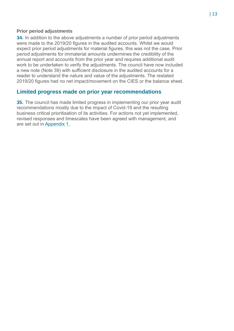#### **Prior period adjustments**

**34.** In addition to the above adjustments a number of prior period adjustments were made to the 2019/20 figures in the audited accounts. Whilst we would expect prior period adjustments for material figures, this was not the case. Prior period adjustments for immaterial amounts undermines the credibility of the annual report and accounts from the prior year and requires additional audit work to be undertaken to verify the adjustments. The council have now included a new note (Note 39) with sufficient disclosure in the audited accounts for a reader to understand the nature and value of the adjustments. The restated 2019/20 figures had no net impact/movement on the CIES or the balance sheet.

## **Limited progress made on prior year recommendations**

**35.** The council has made limited progress in implementing our prior year audit recommendations mostly due to the impact of Covid-19 and the resulting business critical prioritisation of its activities. For actions not yet implemented, revised responses and timescales have been agreed with management, and are set out in [Appendix 1.](#page-29-0)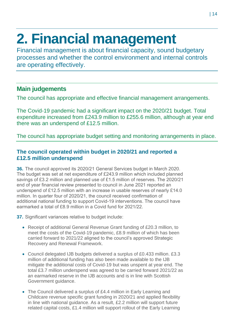# <span id="page-13-0"></span>**2. Financial management**

Financial management is about financial capacity, sound budgetary processes and whether the control environment and internal controls are operating effectively.

# **Main judgements**

The council has appropriate and effective financial management arrangements.

The Covid-19 pandemic had a significant impact on the 2020/21 budget. Total expenditure increased from £243.9 million to £255.6 million, although at year end there was an underspend of £12.5 million.

The council has appropriate budget setting and monitoring arrangements in place.

# **The council operated within budget in 2020/21 and reported a £12.5 million underspend**

**36.** The council approved its 2020/21 General Services budget in March 2020. The budget was set at net expenditure of £243.9 million which included planned savings of £3.2 million and planned use of £1.5 million of reserves. The 2020/21 end of year financial review presented to council in June 2021 reported an underspend of £12.5 million with an increase in usable reserves of nearly £14.0 million. In quarter four of 2020/21, the council received confirmation of additional national funding to support Covid-19 interventions. The council have earmarked a total of £8.9 million in a Covid fund for 2021/22.

**37.** Significant variances relative to budget include:

- Receipt of additional General Revenue Grant funding of £20.3 million, to meet the costs of the Covid-19 pandemic, £8.9 million of which has been carried forward to 2021/22 aligned to the council's approved Strategic Recovery and Renewal Framework.
- Council delegated IJB budgets delivered a surplus of £0.433 million. £3.3 million of additional funding has also been made available to the IJB mitigate the additional costs of Covid-19 but was unspent at year end. The total £3.7 million underspend was agreed to be carried forward 2021/22 as an earmarked reserve in the IJB accounts and is in line with Scottish Government guidance.
- The Council delivered a surplus of £4.4 million in Early Learning and Childcare revenue specific grant funding in 2020/21 and applied flexibility in line with national guidance. As a result, £2.2 million will support future related capital costs, £1.4 million will support rollout of the Early Learning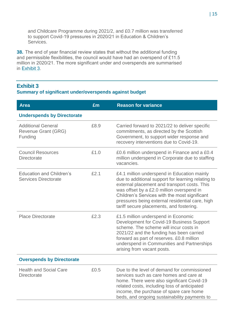and Childcare Programme during 2021/2, and £0.7 million was transferred to support Covid-19 pressures in 2020/21 in Education & Children's Services.

**38.** The end of year financial review states that without the additional funding and permissible flexibilities, the council would have had an overspend of £11.5 million in 2020/21. The more significant under and overspends are summarised in [Exhibit 3.](#page-14-0)

# <span id="page-14-0"></span>**Exhibit 3**

## **Summary of significant under/overspends against budget**

| <b>Area</b>                                                        | £m   | <b>Reason for variance</b>                                                                                                                                                                                                                                                                                                                     |
|--------------------------------------------------------------------|------|------------------------------------------------------------------------------------------------------------------------------------------------------------------------------------------------------------------------------------------------------------------------------------------------------------------------------------------------|
| <b>Underspends by Directorate</b>                                  |      |                                                                                                                                                                                                                                                                                                                                                |
| <b>Additional General</b><br><b>Revenue Grant (GRG)</b><br>Funding | £8.9 | Carried forward to 2021/22 to deliver specific<br>commitments, as directed by the Scottish<br>Government, to support wider response and<br>recovery interventions due to Covid-19.                                                                                                                                                             |
| <b>Council Resources</b><br><b>Directorate</b>                     | £1.0 | £0.6 million underspend in Finance and a £0.4<br>million underspend in Corporate due to staffing<br>vacancies.                                                                                                                                                                                                                                 |
| <b>Education and Children's</b><br><b>Services Directorate</b>     | £2.1 | £4.1 million underspend in Education mainly<br>due to additional support for learning relating to<br>external placement and transport costs. This<br>was offset by a £2.0 million overspend in<br>Children's Services with the most significant<br>pressures being external residential care, high<br>tariff secure placements, and fostering. |
| <b>Place Directorate</b>                                           | £2.3 | £1.5 million underspend in Economic<br>Development for Covid-19 Business Support<br>scheme. The scheme will incur costs in<br>2021/22 and the funding has been carried<br>forward as part of reserves. £0.8 million<br>underspend in Communities and Partnerships<br>arising from vacant posts.                                                |
| <b>Overspends by Directorate</b>                                   |      |                                                                                                                                                                                                                                                                                                                                                |
| <b>Health and Social Care</b><br><b>Directorate</b>                | £0.5 | Due to the level of demand for commissioned<br>services such as care homes and care at<br>home. There were also significant Covid-19<br>related costs, including loss of anticipated<br>income, the purchase of spare care home<br>beds, and ongoing sustainability payments to                                                                |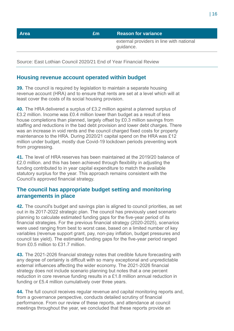| <b>Area</b> | £m | <b>Reason for variance</b>                            |
|-------------|----|-------------------------------------------------------|
|             |    | external providers in line with national<br>guidance. |
|             |    |                                                       |

Source: East Lothian Council 2020/21 End of Year Financial Review

# **Housing revenue account operated within budget**

**39.** The council is required by legislation to maintain a separate housing revenue account (HRA) and to ensure that rents are set at a level which will at least cover the costs of its social housing provision.

**40.** The HRA delivered a surplus of £3.2 million against a planned surplus of £3.2 million. Income was £0.4 million lower than budget as a result of less house completions than planned, largely offset by £0.3 million savings from staffing and reductions in the bad debt provision and lower debt charges. There was an increase in void rents and the council charged fixed costs for property maintenance to the HRA. During 2020/21 capital spend on the HRA was £12 million under budget, mostly due Covid-19 lockdown periods preventing work from progressing.

**41.** The level of HRA reserves has been maintained at the 2019/20 balance of £2.0 million. and this has been achieved through flexibility in adjusting the funding contributed to in year capital expenditure to match the available statutory surplus for the year. This approach remains consistent with the Council's approved financial strategy.

# **The council has appropriate budget setting and monitoring arrangements in place**

**42.** The council's budget and savings plan is aligned to council priorities, as set out in its 2017-2022 strategic plan. The council has previously used scenario planning to calculate estimated funding gaps for the five-year period of its financial strategies. For the previous financial strategy (2020-2025), scenarios were used ranging from best to worst case, based on a limited number of key variables (revenue support grant, pay, non-pay inflation, budget pressures and council tax yield). The estimated funding gaps for the five-year period ranged from £0.5 million to £31.7 million.

**43.** The 2021-2026 financial strategy notes that credible future forecasting with any degree of certainty is difficult with so many exceptional and unpredictable external influences affecting the wider economy. The 2021-2026 financial strategy does not include scenario planning but notes that a one percent reduction in core revenue funding results in a £1.8 million annual reduction in funding or £5.4 million cumulatively over three years.

**44.** The full council receives regular revenue and capital monitoring reports and, from a governance perspective, conducts detailed scrutiny of financial performance. From our review of these reports, and attendance at council meetings throughout the year, we concluded that these reports provide an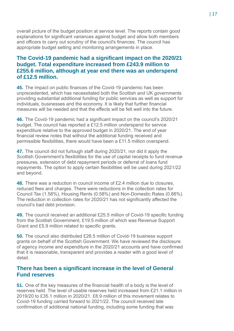overall picture of the budget position at service level. The reports contain good explanations for significant variances against budget and allow both members and officers to carry out scrutiny of the council's finances. The council has appropriate budget setting and monitoring arrangements in place.

# **The Covid-19 pandemic had a significant impact on the 2020/21 budget. Total expenditure increased from £243.9 million to £255.6 million, although at year end there was an underspend of £12.5 million.**

**45.** The impact on public finances of the Covid-19 pandemic has been unprecedented, which has necessitated both the Scottish and UK governments providing substantial additional funding for public services as well as support for individuals, businesses and the economy. It is likely that further financial measures will be needed and that the effects will be felt well into the future.

**46.** The Covid-19 pandemic had a significant impact on the council's 2020/21 budget. The council has reported a £12.5 million underspend for service expenditure relative to the approved budget in 2020/21. The end of year financial review notes that without the additional funding received and permissible flexibilities, there would have been a £11.5 million overspend.

**47.** The council did not furlough staff during 2020/21, nor did it apply the Scottish Government's flexibilities for the use of capital receipts to fund revenue pressures, extension of debt repayment periods or deferral of loans fund repayments. The option to apply certain flexibilities will be used during 2021/22 and beyond.

**48.** There was a reduction in council income of £2.4 million due to closures, reduced fees and charges. There were reductions in the collection rates for Council Tax (1.58%), Housing Rents (0.58%) and Non-Domestic Rates (0.88%). The reduction in collection rates for 2020/21 has not significantly affected the council's bad debt provision.

**49.** The council received an additional £25.5 million of Covid-19 specific funding from the Scottish Government, £19.5 million of which was Revenue Support Grant and £5.9 million related to specific grants.

**50.** The council also distributed £28.5 million of Covid-19 business support grants on behalf of the Scottish Government. We have reviewed the disclosure of agency income and expenditure in the 2020/21 accounts and have confirmed that it is reasonable, transparent and provides a reader with a good level of detail.

## **There has been a significant increase in the level of General Fund reserves**

**51.** One of the key measures of the financial health of a body is the level of reserves held. The level of usable reserves held increased from £21.1 million in 2019/20 to £35.1 million in 2020/21. £8.9 million of this movement relates to Covid-19 funding carried forward to 2021/22. The council received late confirmation of additional national funding, including some funding that was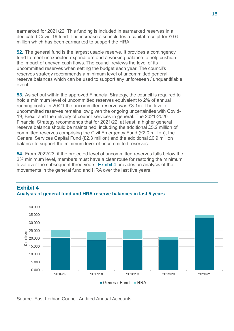earmarked for 2021/22. This funding is included in earmarked reserves in a dedicated Covid-19 fund. The increase also includes a capital receipt for £0.6 million which has been earmarked to support the HRA.

**52.** The general fund is the largest usable reserve. It provides a contingency fund to meet unexpected expenditure and a working balance to help cushion the impact of uneven cash flows. The council reviews the level of its uncommitted reserves when setting the budget each year. The council's reserves strategy recommends a minimum level of uncommitted general reserve balances which can be used to support any unforeseen / unquantifiable event.

**53.** As set out within the approved Financial Strategy, the council is required to hold a minimum level of uncommitted reserves equivalent to 2% of annual running costs. In 20/21 the uncommitted reserve was £3.1m. The level of uncommitted reserves remains low given the ongoing uncertainties with Covid-19, Brexit and the delivery of council services in general. The 2021-2026 Financial Strategy recommends that for 2021/22, at least, a higher general reserve balance should be maintained, including the additional £5.2 million of committed reserves comprising the Civil Emergency Fund (£2.0 million), the General Services Capital Fund (£2.3 million) and the additional £0.9 million balance to support the minimum level of uncommitted reserves.

**54.** From 2022/23, if the projected level of uncommitted reserves falls below the 2% minimum level, members must have a clear route for restoring the minimum level over the subsequent three years. [Exhibit 4](#page-17-0) provides an analysis of the movements in the general fund and HRA over the last five years.



## <span id="page-17-0"></span>**Exhibit 4 Analysis of general fund and HRA reserve balances in last 5 years**

Source: East Lothian Council Audited Annual Accounts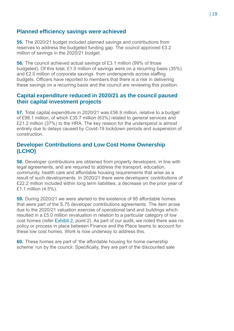# **Planned efficiency savings were achieved**

**55.** The 2020/21 budget included planned savings and contributions from reserves to address the budgeted funding gap. The council approved £3.2 million of savings in the 2020/21 budget.

**56.** The council achieved actual savings of £3.1 million (99% of those budgeted). Of this total, £1.0 million of savings were on a recurring basis (35%) and £2.0 million of corporate savings from underspends across staffing budgets. Officers have reported to members that there is a risk in delivering these savings on a recurring basis and the council are reviewing this position.

# **Capital expenditure reduced in 2020/21 as the council paused their capital investment projects**

**57.** Total capital expenditure in 2020/21 was £56.9 million, relative to a budget of £98.1 million, of which £35.7 million (63%) related to general services and £21.2 million (37%) to the HRA. The key reason for the underspend is almost entirely due to delays caused by Covid-19 lockdown periods and suspension of construction.

# **Developer Contributions and Low Cost Home Ownership (LCHO)**

**58.** Developer contributions are obtained from property developers, in line with legal agreements, and are required to address the transport, education, community, health care and affordable housing requirements that arise as a result of such developments. In 2020/21 there were developers' contributions of £22.2 million included within long term liabilities, a decrease on the prior year of £1.1 million (4.5%).

**59.** During 2020/21 we were alerted to the existence of 95 affordable homes that were part of the S.75 developer contributions agreements. The item arose due to the 2020/21 valuation exercise of operational land and buildings which resulted in a £5.0 million revaluation in relation to a particular category of low cost homes (refer [Exhibit 2,](#page-9-0) point 2). As part of our audit, we noted there was no policy or process in place between Finance and the Place teams to account for these low cost homes. Work is now underway to address this.

**60.** These homes are part of 'the affordable housing for home ownership scheme' run by the council. Specifically, they are part of the discounted sale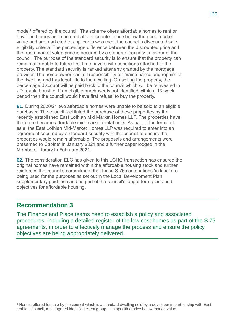model<sup>1</sup> offered by the council. The scheme offers affordable homes to rent or buy. The homes are marketed at a discounted price below the open market value and are marketed to applicants who meet the council's discounted sale eligibility criteria. The percentage difference between the discounted price and the open market value price is secured by a standard security in favour of the council. The purpose of the standard security is to ensure that the property can remain affordable to future first time buyers with conditions attached to the property. The standard security is ranked after any granted by the mortgage provider. The home owner has full responsibility for maintenance and repairs of the dwelling and has legal title to the dwelling. On selling the property, the percentage discount will be paid back to the council which will be reinvested in affordable housing. If an eligible purchaser is not identified within a 13 week period then the council would have first refusal to buy the property.

**61.** During 2020/21 two affordable homes were unable to be sold to an eligible purchaser. The council facilitated the purchase of these properties by the recently established East Lothian Mid Market Homes LLP. The properties have therefore become affordable mid-market rental units. As part of the terms of sale, the East Lothian Mid-Market Homes LLP was required to enter into an agreement secured by a standard security with the council to ensure the properties would remain affordable. The proposals and arrangements were presented to Cabinet in January 2021 and a further paper lodged in the Members' Library in February 2021.

**62.** The consideration ELC has given to this LCHO transaction has ensured the original homes have remained within the affordable housing stock and further reinforces the council's commitment that these S.75 contributions 'in kind' are being used for the purposes as set out in the Local Development Plan supplementary guidance and as part of the council's longer term plans and objectives for affordable housing.

# **Recommendation 3**

The Finance and Place teams need to establish a policy and associated procedures, including a detailed register of the low cost homes as part of the S.75 agreements, in order to effectively manage the process and ensure the policy objectives are being appropriately delivered.

<sup>1</sup> Homes offered for sale by the council which is a standard dwelling sold by a developer in partnership with East Lothian Council, to an agreed identified client group, at a specified price below market value.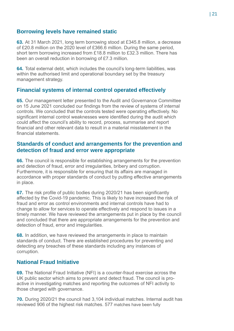# **Borrowing levels have remained static**

**63.** At 31 March 2021, long term borrowing stood at £345.8 million, a decrease of £20.8 million on the 2020 level of £366.6 million. During the same period, short term borrowing increased from £18.8 million to £32.3 million. There has been an overall reduction in borrowing of £7.3 million.

**64.** Total external debt, which includes the council's long-term liabilities, was within the authorised limit and operational boundary set by the treasury management strategy.

# **Financial systems of internal control operated effectively**

**65.** Our management letter presented to the Audit and Governance Committee on 15 June 2021 concluded our findings from the review of systems of internal controls. We concluded that the controls tested were operating effectively. No significant internal control weaknesses were identified during the audit which could affect the council's ability to record, process, summarise and report financial and other relevant data to result in a material misstatement in the financial statements.

# **Standards of conduct and arrangements for the prevention and detection of fraud and error were appropriate**

**66.** The council is responsible for establishing arrangements for the prevention and detection of fraud, error and irregularities, bribery and corruption. Furthermore, it is responsible for ensuring that its affairs are managed in accordance with proper standards of conduct by putting effective arrangements in place.

**67.** The risk profile of public bodies during 2020/21 has been significantly affected by the Covid-19 pandemic. This is likely to have increased the risk of fraud and error as control environments and internal controls have had to change to allow for services to operate effectively and respond to issues in a timely manner. We have reviewed the arrangements put in place by the council and concluded that there are appropriate arrangements for the prevention and detection of fraud, error and irregularities.

**68.** In addition, we have reviewed the arrangements in place to maintain standards of conduct. There are established procedures for preventing and detecting any breaches of these standards including any instances of corruption.

# **National Fraud Initiative**

**69.** The National Fraud Initiative (NFI) is a counter-fraud exercise across the UK public sector which aims to prevent and detect fraud. The council is proactive in investigating matches and reporting the outcomes of NFI activity to those charged with governance.

**70.** During 2020/21 the council had 3,104 individual matches. Internal audit has reviewed 906 of the highest risk matches. 577 matches have been fully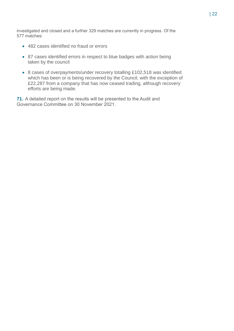investigated and closed and a further 329 matches are currently in progress. Of the 577 matches:

- 482 cases identified no fraud or errors
- 87 cases identified errors in respect to blue badges with action being taken by the council
- 8 cases of overpayments/under recovery totalling £102,518 was identified which has been or is being recovered by the Council, with the exception of £22,287 from a company that has now ceased trading, although recovery efforts are being made.

**71.** A detailed report on the results will be presented to the Audit and Governance Committee on 30 November 2021.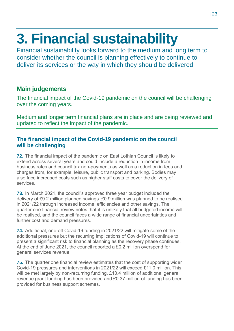# <span id="page-22-0"></span>**3. Financial sustainability**

Financial sustainability looks forward to the medium and long term to consider whether the council is planning effectively to continue to deliver its services or the way in which they should be delivered

# **Main judgements**

The financial impact of the Covid-19 pandemic on the council will be challenging over the coming years.

Medium and longer term financial plans are in place and are being reviewed and updated to reflect the impact of the pandemic.

# **The financial impact of the Covid-19 pandemic on the council will be challenging**

**72.** The financial impact of the pandemic on East Lothian Council is likely to extend across several years and could include a reduction in income from business rates and council tax non-payments as well as a reduction in fees and charges from, for example, leisure, public transport and parking. Bodies may also face increased costs such as higher staff costs to cover the delivery of services.

**73.** In March 2021, the council's approved three year budget included the delivery of £9.2 million planned savings. £0.9 million was planned to be realised in 2021/22 through increased income, efficiencies and other savings. The quarter one financial review notes that it is unlikely that all budgeted income will be realised, and the council faces a wide range of financial uncertainties and further cost and demand pressures.

**74.** Additional, one-off Covid-19 funding in 2021/22 will mitigate some of the additional pressures but the recurring implications of Covid-19 will continue to present a significant risk to financial planning as the recovery phase continues. At the end of June 2021, the council reported a £0.2 million overspend for general services revenue.

**75.** The quarter one financial review estimates that the cost of supporting wider Covid-19 pressures and interventions in 2021/22 will exceed £11.0 million. This will be met largely by non-recurring funding. £10.4 million of additional general revenue grant funding has been provided and £0.37 million of funding has been provided for business support schemes.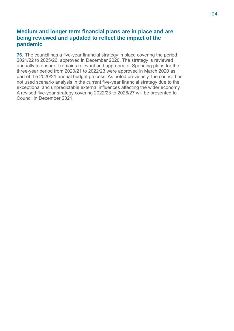# **Medium and longer term financial plans are in place and are being reviewed and updated to reflect the impact of the pandemic**

**76.** The council has a five-year financial strategy in place covering the period 2021/22 to 2025/26, approved in December 2020. The strategy is reviewed annually to ensure it remains relevant and appropriate. Spending plans for the three-year period from 2020/21 to 2022/23 were approved in March 2020 as part of the 2020/21 annual budget process. As noted previously, the council has not used scenario analysis in the current five-year financial strategy due to the exceptional and unpredictable external influences affecting the wider economy. A revised five-year strategy covering 2022/23 to 2026/27 will be presented to Council in December 2021.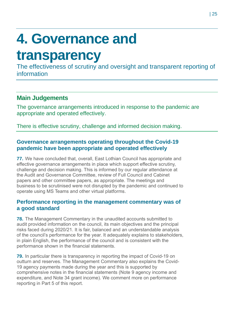# <span id="page-24-0"></span>**4. Governance and**

# **transparency**

The effectiveness of scrutiny and oversight and transparent reporting of information

# **Main Judgements**

The governance arrangements introduced in response to the pandemic are appropriate and operated effectively.

There is effective scrutiny, challenge and informed decision making.

# **Governance arrangements operating throughout the Covid-19 pandemic have been appropriate and operated effectively**

**77.** We have concluded that, overall, East Lothian Council has appropriate and effective governance arrangements in place which support effective scrutiny, challenge and decision making. This is informed by our regular attendance at the Audit and Governance Committee, review of Full Council and Cabinet papers and other committee papers, as appropriate. The meetings and business to be scrutinised were not disrupted by the pandemic and continued to operate using MS Teams and other virtual platforms.

# **Performance reporting in the management commentary was of a good standard**

**78.** The Management Commentary in the unaudited accounts submitted to audit provided information on the council, its main objectives and the principal risks faced during 2020/21. It is fair, balanced and an understandable analysis of the council's performance for the year. It adequately explains to stakeholders, in plain English, the performance of the council and is consistent with the performance shown in the financial statements.

**79.** In particular there is transparency in reporting the impact of Covid-19 on outturn and reserves. The Management Commentary also explains the Covid-19 agency payments made during the year and this is supported by comprehensive notes in the financial statements (Note 9 agency income and expenditure, and Note 34 grant income). We comment more on performance reporting in Part 5 of this report.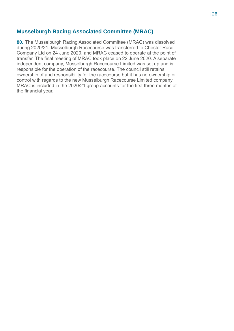# **Musselburgh Racing Associated Committee (MRAC)**

**80.** The Musselburgh Racing Associated Committee (MRAC) was dissolved during 2020/21. Musselburgh Racecourse was transferred to Chester Race Company Ltd on 24 June 2020, and MRAC ceased to operate at the point of transfer. The final meeting of MRAC took place on 22 June 2020. A separate independent company, Musselburgh Racecourse Limited was set up and is responsible for the operation of the racecourse. The council still retains ownership of and responsibility for the racecourse but it has no ownership or control with regards to the new Musselburgh Racecourse Limited company. MRAC is included in the 2020/21 group accounts for the first three months of the financial year.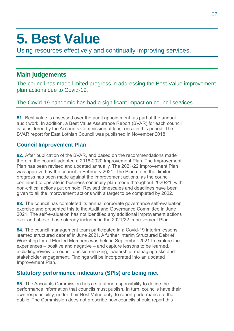# <span id="page-26-0"></span>**5. Best Value**

Using resources effectively and continually improving services.

# **Main judgements**

The council has made limited progress in addressing the Best Value improvement plan actions due to Covid-19.

The Covid-19 pandemic has had a significant impact on council services.

**81.** Best value is assessed over the audit appointment, as part of the annual audit work. In addition, a Best Value Assurance Report (BVAR) for each council is considered by the Accounts Commission at least once in this period. The BVAR report for East Lothian Council was published in November 2018.

# **Council Improvement Plan**

**82.** After publication of the BVAR, and based on the recommendations made therein, the council adopted a 2018-2020 Improvement Plan. The Improvement Plan has been revised and updated annually. The 2021/22 Improvement Plan was approved by the council in February 2021. The Plan notes that limited progress has been made against the improvement actions, as the council continued to operate in business continuity plan mode throughout 2020/21, with non-critical actions put on hold. Revised timescales and deadlines have been given to all the improvement actions with a target to be completed by 2022.

**83.** The council has completed its annual corporate governance self-evaluation exercise and presented this to the Audit and Governance Committee in June 2021. The self-evaluation has not identified any additional improvement actions over and above those already included in the 2021/22 Improvement Plan.

**84.** The council management team participated in a Covid-19 interim lessons learned structured debrief in June 2021. A further Interim Structured Debrief Workshop for all Elected Members was held in September 2021 to explore the experiences – positive and negative – and capture lessons to be learned, including review of council decision-making, leadership, managing risks and stakeholder engagement. Findings will be incorporated into an updated Improvement Plan.

# **Statutory performance indicators (SPIs) are being met**

**85.** The Accounts Commission has a statutory responsibility to define the performance information that councils must publish. In turn, councils have their own responsibility, under their Best Value duty, to report performance to the public. The Commission does not prescribe how councils should report this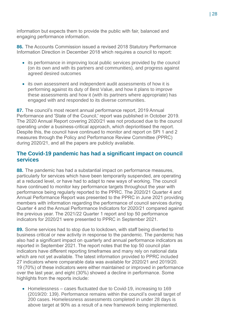information but expects them to provide the public with fair, balanced and engaging performance information.

**86.** The Accounts Commission issued a revised 2018 Statutory Performance Information Direction in December 2018 which requires a council to report:

- its performance in improving local public services provided by the council (on its own and with its partners and communities), and progress against agreed desired outcomes
- its own assessment and independent audit assessments of how it is performing against its duty of Best Value, and how it plans to improve these assessments and how it (with its partners where appropriate) has engaged with and responded to its diverse communities.

**87.** The council's most recent annual performance report, 2019 Annual Performance and 'State of the Council,' report was published in October 2019. The 2020 Annual Report covering 2020/21 was not produced due to the council operating under a business-critical approach, which deprioritised the report. Despite this, the council have continued to monitor and report on SPI 1 and 2 measures through the Policy and Performance Review Committee (PPRC) during 2020/21, and all the papers are publicly available.

# **The Covid-19 pandemic has had a significant impact on council services**

**88.** The pandemic has had a substantial impact on performance measures, particularly for services which have been temporarily suspended, are operating at a reduced level, or have had to adapt to new ways of working. The council have continued to monitor key performance targets throughout the year with performance being regularly reported to the PPRC. The 2020/21 Quarter 4 and Annual Performance Report was presented to the PPRC in June 2021 providing members with information regarding the performance of council services during Quarter 4 and the Annual Performance Indicators for 2020/21 compared against the previous year. The 2021/22 Quarter 1 report and top 50 performance indicators for 2020/21 were presented to PPRC in September 2021.

**89.** Some services had to stop due to lockdown, with staff being diverted to business critical or new activity in response to the pandemic. The pandemic has also had a significant impact on quarterly and annual performance indicators as reported in September 2021. The report notes that the top 50 council plan indicators have different reporting timeframes and many rely on national data which are not yet available. The latest information provided to PPRC included 27 indicators where comparable data was available for 2020/21 and 2019/20. 19 (70%) of these indicators were either maintained or improved in performance over the last year, and eight (30%) showed a decline in performance. Some highlights from the reports include:

• Homelessness – cases fluctuated due to Covid-19, increasing to 169 (2019/20: 139). Performance remains within the council's overall target of 200 cases. Homelessness assessments completed in under 28 days is above target at 90% as a result of a new framework being implemented.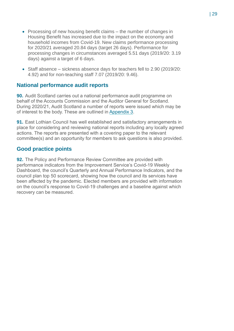- Processing of new housing benefit claims the number of changes in Housing Benefit has increased due to the impact on the economy and household incomes from Covid-19. New claims performance processing for 2020/21 averaged 20.84 days (target 26 days). Performance for processing changes in circumstances averaged 5.51 days (2019/20: 3.19 days) against a target of 6 days.
- Staff absence sickness absence days for teachers fell to 2.90 (2019/20: 4.92) and for non-teaching staff 7.07 (2019/20: 9.46).

## **National performance audit reports**

**90.** Audit Scotland carries out a national performance audit programme on behalf of the Accounts Commission and the Auditor General for Scotland. During 2020/21, Audit Scotland a number of reports were issued which may be of interest to the body. These are outlined in [Appendix 3.](#page-39-0)

**91.** East Lothian Council has well established and satisfactory arrangements in place for considering and reviewing national reports including any locally agreed actions. The reports are presented with a covering paper to the relevant committee(s) and an opportunity for members to ask questions is also provided.

## **Good practice points**

**92.** The Policy and Performance Review Committee are provided with performance indicators from the Improvement Service's Covid-19 Weekly Dashboard, the council's Quarterly and Annual Performance Indicators, and the council plan top 50 scorecard, showing how the council and its services have been affected by the pandemic. Elected members are provided with information on the council's response to Covid-19 challenges and a baseline against which recovery can be measured.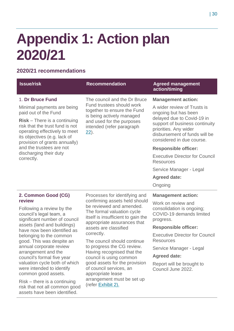# <span id="page-29-0"></span>**Appendix 1: Action plan 2020/21**

# **2020/21 recommendations**

| <b>Issue/risk</b>                                                                                                                                                   | <b>Recommendation</b>                                                                                                                                      | <b>Agreed management</b><br>action/timing                                                                             |
|---------------------------------------------------------------------------------------------------------------------------------------------------------------------|------------------------------------------------------------------------------------------------------------------------------------------------------------|-----------------------------------------------------------------------------------------------------------------------|
| 1. Dr Bruce Fund                                                                                                                                                    | The council and the Dr Bruce                                                                                                                               | <b>Management action:</b>                                                                                             |
| Minimal payments are being<br>paid out of the Fund                                                                                                                  | Fund trustees should work<br>together to ensure the Fund<br>is being actively managed<br>and used for the purposes<br>intended (refer paragraph<br>$22$ ). | A wider review of Trusts is<br>ongoing but has been<br>delayed due to Covid-19 in                                     |
| $Risk - There$ is a continuing<br>risk that the trust fund is not<br>operating effectively to meet<br>its objectives (e.g. lack of<br>provision of grants annually) |                                                                                                                                                            | support of business continuity<br>priorities. Any wider<br>disbursement of funds will be<br>considered in due course. |
| and the trustees are not                                                                                                                                            |                                                                                                                                                            | <b>Responsible officer:</b>                                                                                           |
| discharging their duty<br>correctly.                                                                                                                                |                                                                                                                                                            | <b>Executive Director for Council</b><br><b>Resources</b>                                                             |
|                                                                                                                                                                     |                                                                                                                                                            | Service Manager - Legal                                                                                               |
|                                                                                                                                                                     |                                                                                                                                                            | <b>Agreed date:</b>                                                                                                   |
|                                                                                                                                                                     |                                                                                                                                                            | Ongoing                                                                                                               |
| 2. Common Good (CG)                                                                                                                                                 | Processes for identifying and                                                                                                                              | <b>Management action:</b>                                                                                             |
| review<br>Following a review by the<br>council's legal team, a<br>significant number of council                                                                     | confirming assets held should<br>be reviewed and amended.<br>The formal valuation cycle<br>itself is insufficient to gain the                              | Work on review and<br>consolidation is ongoing;<br>COVID-19 demands limited<br>progress.                              |
| assets (land and buildings)<br>have now been identified as                                                                                                          | appropriate assurances that<br>assets are classified                                                                                                       | <b>Responsible officer:</b>                                                                                           |
| belonging to the common<br>good. This was despite an                                                                                                                | correctly.<br>The council should continue                                                                                                                  | <b>Executive Director for Council</b><br><b>Resources</b>                                                             |
| annual corporate review                                                                                                                                             | to progress the CG review.<br>Having recognised that the                                                                                                   | Service Manager - Legal                                                                                               |
| arrangement and the<br>council's formal five year                                                                                                                   | council is using common                                                                                                                                    | <b>Agreed date:</b>                                                                                                   |
| valuation cycle both of which<br>were intended to identify<br>common good assets.                                                                                   | good assets for the provision<br>of council services, an<br>appropriate lease<br>arrangement must be set up<br>(refer Exhibit 2).                          | Report will be brought to<br>Council June 2022.                                                                       |
| $Risk$ – there is a continuing<br>risk that not all common good<br>assets have been identified.                                                                     |                                                                                                                                                            |                                                                                                                       |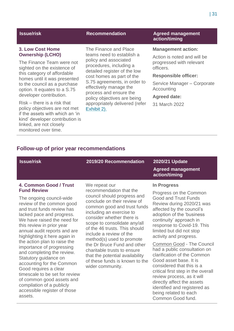#### **3. Low Cost Home Ownership (LCHO)**

The Finance Team were not sighted on the existence of this category of affordable homes until it was presented to the council as a purchase option. It equates to a S.75 developer contribution.

Risk – there is a risk that policy objectives are not met if the assets with which an 'in kind' developer contribution is linked, are not closely monitored over time.

The Finance and Place teams need to establish a policy and associated procedures, including a detailed register of the low cost homes as part of the S.75 agreements, in order to effectively manage the process and ensure the policy objectives are being appropriately delivered (refer [Exhibit 2\).](#page-9-0)

### **Issue/risk Recommendation Agreed management action/timing**

#### **Management action:**

Action is noted and will be progressed with relevant officers.

### **Responsible officer:**

Service Manager – Corporate Accounting

#### **Agreed date:**

31 March 2022

# **Follow-up of prior year recommendations**

| <b>Issue/risk</b>                                                                                                                                                                                                                                                                                                                                                                                                                                                                                                                                                                                              | 2019/20 Recommendation                                                                                                                                                                                                                                                                                                                                                                                                                                                         | 2020/21 Update<br><b>Agreed management</b><br>action/timing                                                                                                                                                                                                                                                                                                                                                                                                                                                                                                                                                                 |
|----------------------------------------------------------------------------------------------------------------------------------------------------------------------------------------------------------------------------------------------------------------------------------------------------------------------------------------------------------------------------------------------------------------------------------------------------------------------------------------------------------------------------------------------------------------------------------------------------------------|--------------------------------------------------------------------------------------------------------------------------------------------------------------------------------------------------------------------------------------------------------------------------------------------------------------------------------------------------------------------------------------------------------------------------------------------------------------------------------|-----------------------------------------------------------------------------------------------------------------------------------------------------------------------------------------------------------------------------------------------------------------------------------------------------------------------------------------------------------------------------------------------------------------------------------------------------------------------------------------------------------------------------------------------------------------------------------------------------------------------------|
| 4. Common Good / Trust<br><b>Fund Review</b><br>The ongoing council-wide<br>review of the common good<br>and trust funds review has<br>lacked pace and progress.<br>We have raised the need for<br>this review in prior year<br>annual audit reports and are<br>highlighting it here again in<br>the action plan to raise the<br>importance of progressing<br>and completing the review.<br>Statutory guidance on<br>accounting for the Common<br>Good requires a clear<br>timescale to be set for review<br>of common good assets and<br>compilation of a publicly<br>accessible register of those<br>assets. | We repeat our<br>recommendation that the<br>council should progress and<br>conclude on their review of<br>common good and trust funds<br>including an exercise to<br>consider whether there is<br>scope to consolidate any/all<br>of the 46 trusts. This should<br>include a review of the<br>method(s) used to promote<br>the Dr Bruce Fund and other<br>charitable trusts to ensure<br>that the potential availability<br>of these funds is known to the<br>wider community. | <b>In Progress</b><br>Progress on the Common<br><b>Good and Trust Funds</b><br>Review during 2020/21 was<br>affected by the council's<br>adoption of the 'business<br>continuity' approach in<br>response to Covid-19. This<br>limited but did not stop<br>activity and progress.<br><b>Common Good - The Council</b><br>had a public consultation on<br>clarification of the Common<br>Good asset base. It is<br>considered that this is a<br>critical first step in the overall<br>review process, as it will<br>directly affect the assets<br>identified and registered as<br>being related to each<br>Common Good fund. |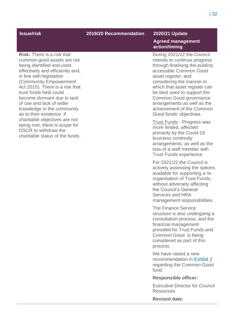#### **Issue/risk 2019/20 Recommendation 2020/21 Update**

#### **Risk:** There is a risk that common good assets are not being identified and used effectively and efficiently and, in line with legislation (Community Empowerment Act 2015). There is a risk that trust funds held could become dormant due to lack of use and lack of wider knowledge in the community as to their existence. If charitable objectives are not being met, there is scope for OSCR to withdraw the charitable status of the funds.

#### **Agreed management action/timing**

During 2021/22 the Council intends to continue progress through finalising the publicly accessible Common Good asset register; and considering the manner in which that asset register can be best used to support the Common Good governance arrangements as well as the achievement of the Common Good funds' objectives.

Trust Funds - Progress was more limited, affected primarily by the Covid-19 business continuity arrangements, as well as the loss of a staff member with Trust Funds experience.

For 2021/22 the Council is actively assessing the options available for supporting a reorganisation of Trust Funds, without adversely affecting the Council's General Services and HRA management responsibilities.

The Finance Service structure is also undergoing a consultation process, and the financial management provided for Trust Funds and Common Good is being considered as part of this process.

We have raised a new recommendation in [Exhibit 2](#page-9-0) regarding the Common Good fund.

#### **Responsible officer:**

Executive Director for Council Resources

**Revised date:**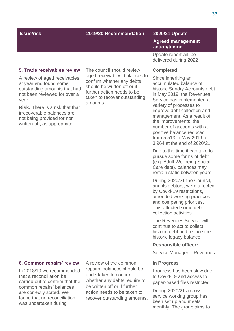### **Issue/risk 2019/20 Recommendation 2020/21 Update**

#### **Agreed management action/timing**

Update report will be delivered during 2022

#### **5. Trade receivables review**

A review of aged receivables at year end found some outstanding amounts that had not been reviewed for over a year.

**Risk:** There is a risk that that irrecoverable balances are not being provided for nor written-off, as appropriate.

The council should review aged receivables' balances to confirm whether any debts should be written off or if further action needs to be taken to recover outstanding amounts.

#### **Completed**

Since inheriting an accumulated balance of historic Sundry Accounts debt in May 2019, the Revenues Service has implemented a variety of processes to improve debt collection and management. As a result of the improvements, the number of accounts with a positive balance reduced from 5,513 in May 2019 to 3,964 at the end of 2020/21.

Due to the time it can take to pursue some forms of debt (e.g. Adult Wellbeing Social Care debt), balances may remain static between years.

During 2020/21 the Council, and its debtors, were affected by Covid-19 restrictions, amended working practices and competing priorities. This affected some debt collection activities.

The Revenues Service will continue to act to collect historic debt and reduce the historic legacy balance.

#### **Responsible officer:**

Service Manager – Revenues

#### **6. Common repairs' review**

In 2018/19 we recommended that a reconciliation be carried out to confirm that the common repairs' balances are correctly stated. We found that no reconciliation was undertaken during

A review of the common repairs' balances should be undertaken to confirm whether any debts require to be written off or if further action needs to be taken to recover outstanding amounts.

#### **In Progress**

Progress has been slow due to Covid-19 and access to paper-based files restricted.

During 2020/21 a cross service working group has been set up and meets monthly. The group aims to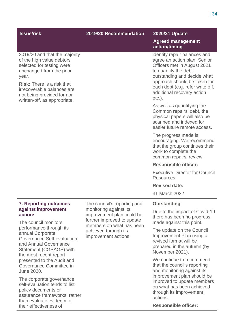### **Issue/risk 2019/20 Recommendation 2020/21 Update**

#### 2019/20 and that the majority of the high value debtors selected for testing were unchanged from the prior year.

**Risk:** There is a risk that irrecoverable balances are not being provided for nor written-off, as appropriate.

#### **Agreed management action/timing**

identify repair balances and agree an action plan. Senior Officers met in August 2021 to quantify the debt outstanding and decide what approach should be taken for each debt (e.g. refer write off, additional recovery action etc.).

As well as quantifying the Common repairs' debt, the physical papers will also be scanned and indexed for easier future remote access.

The progress made is encouraging. We recommend that the group continues their work to complete the common repairs' review.

#### **Responsible officer:**

Executive Director for Council Resources

#### **Revised date:**

31 March 2022

#### **Outstanding**

Due to the impact of Covid-19 there has been no progress made against this point.

The update on the Council Improvement Plan using a revised format will be prepared in the autumn (by November 2021).

We continue to recommend that the council's reporting and monitoring against its improvement plan should be improved to update members on what has been achieved through its improvement actions.

**Responsible officer:**

#### | 34

#### **7. Reporting outcomes against improvement actions**

The council monitors performance through its annual Corporate Governance Self-evaluation and Annual Governance Statement (CGSAGS) with the most recent report presented to the Audit and Governance Committee in June 2020.

The corporate governance self-evaluation tends to list policy documents or assurance frameworks, rather than evaluate evidence of their effectiveness of

The council's reporting and monitoring against its improvement plan could be further improved to update members on what has been achieved through its improvement actions.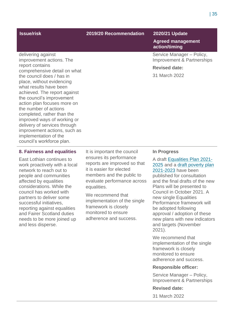delivering against

report contains

improvement actions. The

the council does / has in place, without evidencing what results have been

the number of actions completed, rather than the improved ways of working or delivery of services through improvement actions, such as

implementation of the council's workforce plan.

comprehensive detail on what

achieved. The report against the council's improvement action plan focuses more on

### **Issue/risk 2019/20 Recommendation 2020/21 Update**

### **Agreed management action/timing**

Service Manager – Policy, Improvement & Partnerships

#### **Revised date:**

31 March 2022

#### **8. Fairness and equalities**

East Lothian continues to work proactively with a local network to reach out to people and communities affected by equalities considerations. While the council has worked with partners to deliver some successful initiatives, reporting against equalities and Fairer Scotland duties needs to be more joined up and less disperse.

It is important the council ensures its performance reports are improved so that it is easier for elected members and the public to evaluate performance across equalities.

We recommend that implementation of the single framework is closely monitored to ensure adherence and success.

#### **In Progress**

A draft [Equalities Plan 2021-](https://eastlothianconsultations.co.uk/policy-partnerships/draft-equality-plan-survey-2021/) [2025](https://eastlothianconsultations.co.uk/policy-partnerships/draft-equality-plan-survey-2021/) and [a draft poverty plan](https://eastlothianconsultations.co.uk/policy-partnerships/draft-poverty-plan-survey-2021/)  [2021-2023](https://eastlothianconsultations.co.uk/policy-partnerships/draft-poverty-plan-survey-2021/) have been published for consultation and the final drafts of the new Plans will be presented to Council in October 2021. A new single Equalities Performance framework will be adopted following approval / adoption of these new plans with new indicators and targets (November 2021).

We recommend that implementation of the single framework is closely monitored to ensure adherence and success.

#### **Responsible officer:**

Service Manager – Policy, Improvement & Partnerships

#### **Revised date:**

31 March 2022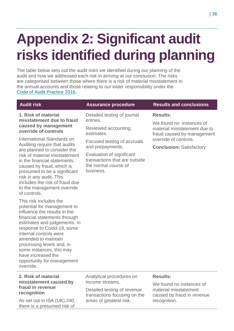# <span id="page-35-0"></span>**Appendix 2: Significant audit risks identified during planning**

The table below sets out the audit risks we identified during our planning of the audit and how we addressed each risk in arriving at our conclusion. The risks are categorised between those where there is a risk of material misstatement in the annual accounts and those relating to our wider responsibility under the [Code of Audit Practice 2016.](http://www.audit-scotland.gov.uk/report/code-of-audit-practice-2016)

**1. Risk of material misstatement due to fraud caused by management override of controls** 

International Standards on Auditing require that audits are planned to consider the risk of material misstatement in the financial statements caused by fraud, which is presumed to be a significant risk in any audit. This includes the risk of fraud due to the management override of controls.

This risk includes the potential for management to influence the results in the financial statements through estimates and judgements. In response to Covid-19, some internal controls were amended to maintain processing levels and, in some instances, this may have increased the opportunity for management override.

### **2. Risk of material misstatement caused by fraud in revenue recognition**

As set out in ISA (UK) 240, there is a presumed risk of

Detailed testing of journal entries.

Reviewed accounting estimates.

Focused testing of accruals and prepayments.

Evaluation of significant transactions that are outside the normal course of business.

### **Audit risk Assurance procedure Results and conclusions**

### **Results:**

We found no instances of material misstatement due to fraud caused by management override of controls.

**Conclusion:** Satisfactory

Analytical procedures on income streams.

Detailed testing of revenue transactions focusing on the areas of greatest risk.

### **Results:**

We found no instances of material misstatement caused by fraud in revenue recognition.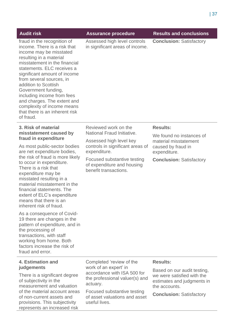| <b>Audit risk</b>                                                                                                                                                                                                                                                                                                                                                                                                                     | <b>Assurance procedure</b>                                                                         | <b>Results and conclusions</b>                                                                           |
|---------------------------------------------------------------------------------------------------------------------------------------------------------------------------------------------------------------------------------------------------------------------------------------------------------------------------------------------------------------------------------------------------------------------------------------|----------------------------------------------------------------------------------------------------|----------------------------------------------------------------------------------------------------------|
| fraud in the recognition of<br>income. There is a risk that<br>income may be misstated<br>resulting in a material<br>misstatement in the financial<br>statements. ELC receives a<br>significant amount of income<br>from several sources, in<br>addition to Scottish<br>Government funding,<br>including income from fees<br>and charges. The extent and<br>complexity of income means<br>that there is an inherent risk<br>of fraud. | Assessed high level controls<br>in significant areas of income.                                    | <b>Conclusion: Satisfactory</b>                                                                          |
| 3. Risk of material<br>misstatement caused by<br>fraud in expenditure                                                                                                                                                                                                                                                                                                                                                                 | Reviewed work on the<br>National Fraud Initiative.                                                 | <b>Results:</b><br>We found no instances of                                                              |
| As most public-sector bodies<br>are net expenditure bodies,                                                                                                                                                                                                                                                                                                                                                                           | Assessed high level key<br>controls in significant areas of<br>expenditure.                        | material misstatement<br>caused by fraud in<br>expenditure.                                              |
| the risk of fraud is more likely<br>to occur in expenditure.<br>There is a risk that<br>expenditure may be<br>misstated resulting in a<br>material misstatement in the<br>financial statements. The<br>extent of ELC's expenditure<br>means that there is an<br>inherent risk of fraud.                                                                                                                                               | Focused substantive testing<br>of expenditure and housing<br>benefit transactions.                 | <b>Conclusion: Satisfactory</b>                                                                          |
| As a consequence of Covid-<br>19 there are changes in the<br>pattern of expenditure, and in<br>the processing of<br>transactions, with staff<br>working from home. Both<br>factors increase the risk of<br>fraud and error.                                                                                                                                                                                                           |                                                                                                    |                                                                                                          |
| 4. Estimation and                                                                                                                                                                                                                                                                                                                                                                                                                     | Completed 'review of the                                                                           | <b>Results:</b>                                                                                          |
| judgements<br>There is a significant degree<br>of subjectivity in the<br>measurement and valuation                                                                                                                                                                                                                                                                                                                                    | work of an expert' in<br>accordance with ISA 500 for<br>the professional valuer(s) and<br>actuary. | Based on our audit testing,<br>we were satisfied with the<br>estimates and judgments in<br>the accounts. |
| of the material account areas<br>of non-current assets and<br>provisions. This subjectivity<br>represents an increased risk                                                                                                                                                                                                                                                                                                           | Focused substantive testing<br>of asset valuations and asset<br>useful lives.                      | <b>Conclusion: Satisfactory</b>                                                                          |
|                                                                                                                                                                                                                                                                                                                                                                                                                                       |                                                                                                    |                                                                                                          |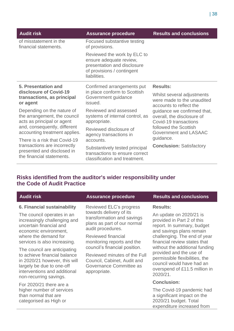| <b>Audit risk</b>                                                                        | <b>Assurance procedure</b>                                                                                                          | <b>Results and conclusions</b>                                                                                                       |
|------------------------------------------------------------------------------------------|-------------------------------------------------------------------------------------------------------------------------------------|--------------------------------------------------------------------------------------------------------------------------------------|
| of misstatement in the<br>financial statements.                                          | Focused substantive testing<br>of provisions.                                                                                       |                                                                                                                                      |
|                                                                                          | Reviewed the work by ELC to<br>ensure adequate review,<br>presentation and disclosure<br>of provisions / contingent<br>liabilities. |                                                                                                                                      |
| <b>5. Presentation and</b>                                                               | Confirmed arrangements put                                                                                                          | <b>Results:</b>                                                                                                                      |
| disclosure of Covid-19<br>transactions, as principal<br>or agent                         | in place conform to Scottish<br>Government guidance<br>issued.                                                                      | Whilst several adjustments<br>were made to the unaudited<br>accounts to reflect the                                                  |
| Depending on the nature of<br>the arrangement, the council<br>acts as principal or agent | Reviewed and assessed<br>systems of internal control, as<br>appropriate.                                                            | guidance we confirmed that,<br>overall, the disclosure of<br>Covid-19 transactions<br>followed the Scottish<br>Government and LASAAC |
| and, consequently, different<br>accounting treatment applies.                            | Reviewed disclosure of<br>agency transactions in                                                                                    |                                                                                                                                      |
| There is a risk that Covid-19                                                            | accounts.                                                                                                                           | guidance.<br><b>Conclusion: Satisfactory</b>                                                                                         |
| transactions are incorrectly<br>presented and disclosed in<br>the financial statements.  | Substantively tested principal<br>transactions to ensure correct<br>classification and treatment.                                   |                                                                                                                                      |

# **Risks identified from the auditor's wider responsibility under the Code of Audit Practice**

| he Code of Audit Practice |                     |                                |
|---------------------------|---------------------|--------------------------------|
| <b>Audit risk</b>         | Assurance procedure | <b>Results and conclusions</b> |

### **6. Financial sustainability**

The council operates in an increasingly challenging and uncertain financial and economic environment, where the demand for services is also increasing.

The council are anticipating to achieve financial balance in 2020/21 however, this will largely be due to one-off interventions and additional non-recurring savings.

For 2020/21 there are a higher number of services than normal that are categorised as High or

Reviewed ELC's progress towards delivery of its transformation and savings plans as part of our normal audit procedures.

Reviewed financial monitoring reports and the council's financial position.

Reviewed minutes of the Full Council, Cabinet, Audit and Governance Committee as appropriate.

### **Results:**

An update on 2020/21 is provided in Part 2 of this report. In summary, budget and savings plans remain challenging. The end of year financial review states that without the additional funding provided and the use of permissible flexibilities, the council would have had an overspend of £11.5 million in 2020/21.

### **Conclusion:**

The Covid-19 pandemic had a significant impact on the 2020/21 budget. Total expenditure increased from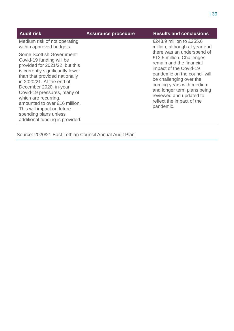| <b>Audit risk</b>                                                                                                                                                                                                                                                                                                                                                                                           | <b>Assurance procedure</b> | <b>Results and conclusions</b>                                                                                                                                                                                                                                                                           |
|-------------------------------------------------------------------------------------------------------------------------------------------------------------------------------------------------------------------------------------------------------------------------------------------------------------------------------------------------------------------------------------------------------------|----------------------------|----------------------------------------------------------------------------------------------------------------------------------------------------------------------------------------------------------------------------------------------------------------------------------------------------------|
| Medium risk of not operating<br>within approved budgets.                                                                                                                                                                                                                                                                                                                                                    |                            | £243.9 million to £255.6<br>million, although at year end                                                                                                                                                                                                                                                |
| <b>Some Scottish Government</b><br>Covid-19 funding will be<br>provided for 2021/22, but this<br>is currently significantly lower<br>than that provided nationally<br>in 2020/21. At the end of<br>December 2020, in-year<br>Covid-19 pressures, many of<br>which are recurring,<br>amounted to over £16 million.<br>This will impact on future<br>spending plans unless<br>additional funding is provided. |                            | there was an underspend of<br>£12.5 million. Challenges<br>remain and the financial<br>impact of the Covid-19<br>pandemic on the council will<br>be challenging over the<br>coming years with medium<br>and longer term plans being<br>reviewed and updated to<br>reflect the impact of the<br>pandemic. |

Source: 2020/21 East Lothian Council Annual Audit Plan

 $\overline{\phantom{a}}$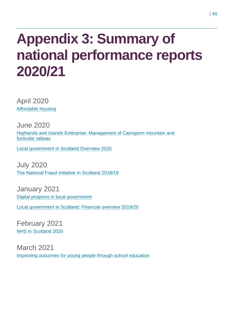# <span id="page-39-0"></span>**Appendix 3: Summary of national performance reports 2020/21**

April 2020 [Affordable housing](https://www.audit-scotland.gov.uk/report/affordable-housing)

June 2020 [Highlands and Islands Enterprise: Management of Cairngorm mountain and](https://www.audit-scotland.gov.uk/report/highlands-and-islands-enterprise-management-of-cairngorm-mountain-and-funicular-railway)  [funicular railway](https://www.audit-scotland.gov.uk/report/highlands-and-islands-enterprise-management-of-cairngorm-mountain-and-funicular-railway)

[Local government in Scotland Overview 2020](https://www.audit-scotland.gov.uk/report/local-government-in-scotland-overview-2020)

July 2020 [The National Fraud Initiative in Scotland 2018/19](https://www.audit-scotland.gov.uk/report/the-national-fraud-initiative-in-scotland-201819)

January 2021 [Digital progress in local government](https://www.audit-scotland.gov.uk/report/digital-progress-in-local-government)

[Local government in Scotland: Financial overview 2019/20](https://www.audit-scotland.gov.uk/report/local-government-in-scotland-financial-overview-201920)

February 2021 [NHS in Scotland 2020](https://www.audit-scotland.gov.uk/report/nhs-in-scotland-2020)

March 2021 [Improving outcomes for young people through school education](https://www.audit-scotland.gov.uk/report/improving-outcomes-for-young-people-through-school-education)